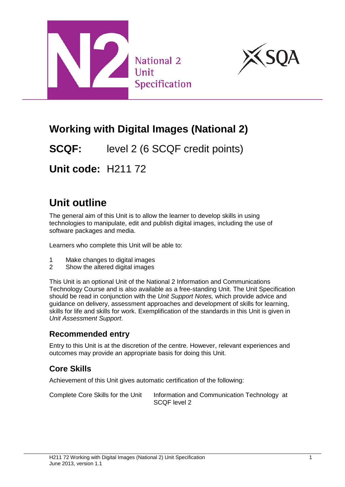



# **Working with Digital Images (National 2)**

**SCQF:** level 2 (6 SCQF credit points)

**Unit code:** H211 72

# **Unit outline**

The general aim of this Unit is to allow the learner to develop skills in using technologies to manipulate, edit and publish digital images, including the use of software packages and media.

Learners who complete this Unit will be able to:

- 1 Make changes to digital images<br>2 Show the altered digital images
- Show the altered digital images

This Unit is an optional Unit of the National 2 Information and Communications Technology Course and is also available as a free-standing Unit. The Unit Specification should be read in conjunction with the *Unit Support Notes,* which provide advice and guidance on delivery, assessment approaches and development of skills for learning, skills for life and skills for work. Exemplification of the standards in this Unit is given in *Unit Assessment Support*.

### **Recommended entry**

Entry to this Unit is at the discretion of the centre. However, relevant experiences and outcomes may provide an appropriate basis for doing this Unit.

## **Core Skills**

Achievement of this Unit gives automatic certification of the following:

Complete Core Skills for the Unit Information and Communication Technology at SCQF level 2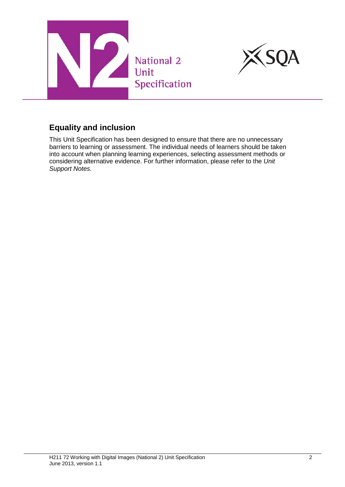



### **Equality and inclusion**

This Unit Specification has been designed to ensure that there are no unnecessary barriers to learning or assessment. The individual needs of learners should be taken into account when planning learning experiences, selecting assessment methods or considering alternative evidence. For further information, please refer to the *Unit Support Notes.*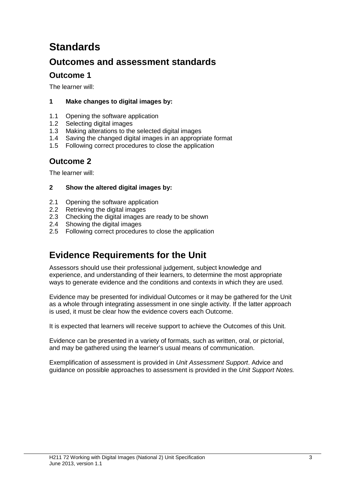# **Standards**

## **Outcomes and assessment standards**

### **Outcome 1**

The learner will:

#### **1 Make changes to digital images by:**

- 1.1 Opening the software application
- 1.2 Selecting digital images
- 1.3 Making alterations to the selected digital images
- 1.4 Saving the changed digital images in an appropriate format
- 1.5 Following correct procedures to close the application

### **Outcome 2**

The learner will:

#### **2 Show the altered digital images by:**

- 2.1 Opening the software application
- 2.2 Retrieving the digital images
- 2.3 Checking the digital images are ready to be shown
- 2.4 Showing the digital images
- 2.5 Following correct procedures to close the application

## **Evidence Requirements for the Unit**

Assessors should use their professional judgement, subject knowledge and experience, and understanding of their learners, to determine the most appropriate ways to generate evidence and the conditions and contexts in which they are used.

Evidence may be presented for individual Outcomes or it may be gathered for the Unit as a whole through integrating assessment in one single activity. If the latter approach is used, it must be clear how the evidence covers each Outcome.

It is expected that learners will receive support to achieve the Outcomes of this Unit.

Evidence can be presented in a variety of formats, such as written, oral, or pictorial, and may be gathered using the learner's usual means of communication.

Exemplification of assessment is provided in *Unit Assessment Support*. Advice and guidance on possible approaches to assessment is provided in the *Unit Support Notes.*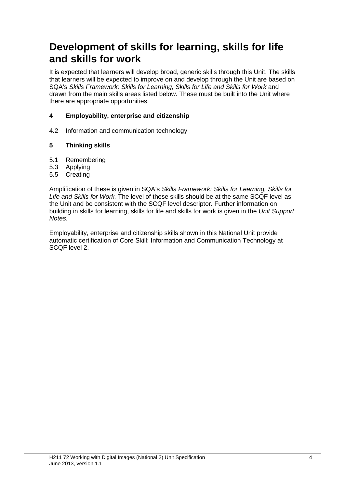## **Development of skills for learning, skills for life and skills for work**

It is expected that learners will develop broad, generic skills through this Unit. The skills that learners will be expected to improve on and develop through the Unit are based on SQA's *Skills Framework: Skills for Learning, Skills for Life and Skills for Work* and drawn from the main skills areas listed below. These must be built into the Unit where there are appropriate opportunities.

#### **4 Employability, enterprise and citizenship**

4.2 Information and communication technology

#### **5 Thinking skills**

- 5.1 Remembering
- 5.3 Applying
- 5.5 Creating

Amplification of these is given in SQA's *Skills Framework: Skills for Learning, Skills for Life and Skills for Work.* The level of these skills should be at the same SCQF level as the Unit and be consistent with the SCQF level descriptor. Further information on building in skills for learning, skills for life and skills for work is given in the *Unit Support Notes.*

Employability, enterprise and citizenship skills shown in this National Unit provide automatic certification of Core Skill: Information and Communication Technology at SCQF level 2.